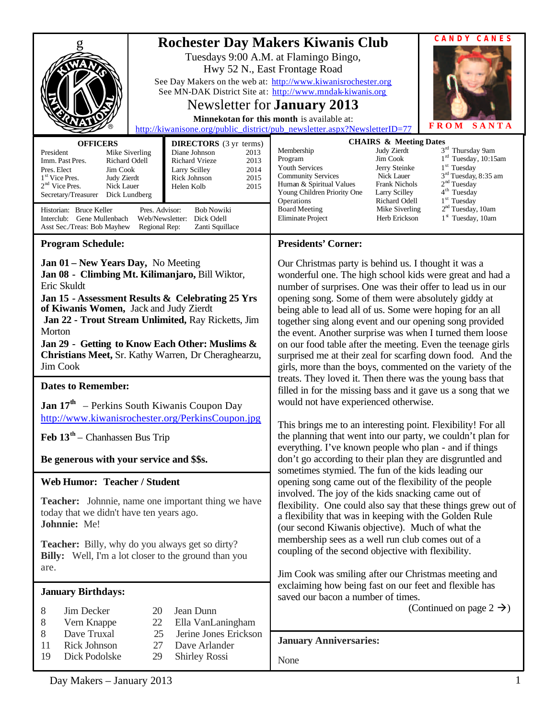| <b>Rochester Day Makers Kiwanis Club</b><br>See Day Makers on the web at: http://www.kiwanisrochester.org<br>See MN-DAK District Site at: http://www.mndak-kiwanis.org<br>http://kiwanisone.org/public_district/pub_newsletter.aspx?NewsletterID=77<br><b>OFFICERS</b><br><b>DIRECTORS</b> (3 yr terms)<br>President<br>Diane Johnson<br>Mike Siverling<br>2013<br>Richard Odell<br>Richard Vrieze<br>2013<br>Imm. Past Pres. |                                                                                                                           | Tuesdays 9:00 A.M. at Flamingo Bingo,<br>Hwy 52 N., East Frontage Road<br>Newsletter for <b>January</b> 2013<br>Minnekotan for this month is available at:<br>Membership<br>Program                                                                                                                                                                                                                                                                                                                                                                                                                                  | <b>CANDY CANES</b><br><b>FROM</b><br>SANTA<br><b>CHAIRS &amp; Meeting Dates</b><br>3 <sup>rd</sup> Thursday 9am<br>Judy Zierdt<br>1 <sup>rd</sup> Tuesday, 10:15am<br>Jim Cook                                                                                                                                         |  |
|-------------------------------------------------------------------------------------------------------------------------------------------------------------------------------------------------------------------------------------------------------------------------------------------------------------------------------------------------------------------------------------------------------------------------------|---------------------------------------------------------------------------------------------------------------------------|----------------------------------------------------------------------------------------------------------------------------------------------------------------------------------------------------------------------------------------------------------------------------------------------------------------------------------------------------------------------------------------------------------------------------------------------------------------------------------------------------------------------------------------------------------------------------------------------------------------------|------------------------------------------------------------------------------------------------------------------------------------------------------------------------------------------------------------------------------------------------------------------------------------------------------------------------|--|
| Pres. Elect<br>Jim Cook<br>1 <sup>st</sup> Vice Pres.<br><b>Judy Zierdt</b><br>$2nd$ Vice Pres.<br>Nick Lauer<br>Secretary/Treasurer<br>Dick Lundberg<br>Historian: Bruce Keller<br>Pres. Advisor:<br>Interclub: Gene Mullenbach<br>Web/Newsletter:<br>Asst Sec./Treas: Bob Mayhew<br>Regional Rep:                                                                                                                           | 2014<br>Larry Scilley<br>2015<br>Rick Johnson<br>Helen Kolb<br>2015<br><b>Bob Nowiki</b><br>Dick Odell<br>Zanti Squillace | <b>Youth Services</b><br><b>Community Services</b><br>Human & Spiritual Values<br>Young Children Priority One<br>Operations<br><b>Board Meeting</b><br>Eliminate Project                                                                                                                                                                                                                                                                                                                                                                                                                                             | $1st$ Tuesday<br>Jerry Steinke<br>3 <sup>rd</sup> Tuesday, 8:35 am<br>Nick Lauer<br>2 <sup>nd</sup> Tuesday<br><b>Frank Nichols</b><br>4 <sup>th</sup> Tuesday<br>Larry Scilley<br>1 <sup>st</sup> Tuesday<br>Richard Odell<br>2 <sup>nd</sup> Tuesday, 10am<br>Mike Siverling<br>$1st$ Tuesday, 10am<br>Herb Erickson |  |
| <b>Program Schedule:</b>                                                                                                                                                                                                                                                                                                                                                                                                      |                                                                                                                           | <b>Presidents' Corner:</b>                                                                                                                                                                                                                                                                                                                                                                                                                                                                                                                                                                                           |                                                                                                                                                                                                                                                                                                                        |  |
| Jan 01 - New Years Day, No Meeting<br>Jan 08 - Climbing Mt. Kilimanjaro, Bill Wiktor,<br>Eric Skuldt<br>Jan 15 - Assessment Results & Celebrating 25 Yrs<br>of Kiwanis Women, Jack and Judy Zierdt<br>Jan 22 - Trout Stream Unlimited, Ray Ricketts, Jim<br>Morton<br>Jan 29 - Getting to Know Each Other: Muslims &<br>Christians Meet, Sr. Kathy Warren, Dr Cheraghearzu,<br>Jim Cook                                       |                                                                                                                           | Our Christmas party is behind us. I thought it was a<br>wonderful one. The high school kids were great and had a<br>number of surprises. One was their offer to lead us in our<br>opening song. Some of them were absolutely giddy at<br>being able to lead all of us. Some were hoping for an all<br>together sing along event and our opening song provided<br>the event. Another surprise was when I turned them loose<br>on our food table after the meeting. Even the teenage girls<br>surprised me at their zeal for scarfing down food. And the<br>girls, more than the boys, commented on the variety of the |                                                                                                                                                                                                                                                                                                                        |  |
| <b>Dates to Remember:</b>                                                                                                                                                                                                                                                                                                                                                                                                     |                                                                                                                           |                                                                                                                                                                                                                                                                                                                                                                                                                                                                                                                                                                                                                      | treats. They loved it. Then there was the young bass that                                                                                                                                                                                                                                                              |  |
| <b>Jan 17th</b> – Perkins South Kiwanis Coupon Day<br>http://www.kiwanisrochester.org/PerkinsCoupon.jpg                                                                                                                                                                                                                                                                                                                       |                                                                                                                           | filled in for the missing bass and it gave us a song that we<br>would not have experienced otherwise.<br>This brings me to an interesting point. Flexibility! For all                                                                                                                                                                                                                                                                                                                                                                                                                                                |                                                                                                                                                                                                                                                                                                                        |  |
| Feb $13th$ – Chanhassen Bus Trip                                                                                                                                                                                                                                                                                                                                                                                              |                                                                                                                           |                                                                                                                                                                                                                                                                                                                                                                                                                                                                                                                                                                                                                      | the planning that went into our party, we couldn't plan for                                                                                                                                                                                                                                                            |  |
| Be generous with your service and \$\$s.                                                                                                                                                                                                                                                                                                                                                                                      |                                                                                                                           | everything. I've known people who plan - and if things<br>don't go according to their plan they are disgruntled and<br>sometimes stymied. The fun of the kids leading our                                                                                                                                                                                                                                                                                                                                                                                                                                            |                                                                                                                                                                                                                                                                                                                        |  |
| <b>Web Humor: Teacher / Student</b>                                                                                                                                                                                                                                                                                                                                                                                           |                                                                                                                           |                                                                                                                                                                                                                                                                                                                                                                                                                                                                                                                                                                                                                      | opening song came out of the flexibility of the people                                                                                                                                                                                                                                                                 |  |
| <b>Teacher:</b> Johnnie, name one important thing we have<br>today that we didn't have ten years ago.<br>Johnnie: Me!                                                                                                                                                                                                                                                                                                         |                                                                                                                           | involved. The joy of the kids snacking came out of<br>flexibility. One could also say that these things grew out of<br>a flexibility that was in keeping with the Golden Rule<br>(our second Kiwanis objective). Much of what the                                                                                                                                                                                                                                                                                                                                                                                    |                                                                                                                                                                                                                                                                                                                        |  |
| <b>Teacher:</b> Billy, why do you always get so dirty?<br><b>Billy:</b> Well, I'm a lot closer to the ground than you<br>are.                                                                                                                                                                                                                                                                                                 |                                                                                                                           | membership sees as a well run club comes out of a<br>coupling of the second objective with flexibility.<br>Jim Cook was smiling after our Christmas meeting and                                                                                                                                                                                                                                                                                                                                                                                                                                                      |                                                                                                                                                                                                                                                                                                                        |  |
| <b>January Birthdays:</b>                                                                                                                                                                                                                                                                                                                                                                                                     |                                                                                                                           |                                                                                                                                                                                                                                                                                                                                                                                                                                                                                                                                                                                                                      | exclaiming how being fast on our feet and flexible has                                                                                                                                                                                                                                                                 |  |
| Jean Dunn<br>8<br>Jim Decker<br>20<br>8<br>Vern Knappe<br>22<br>Ella VanLaningham<br>8<br>Dave Truxal<br>Jerine Jones Erickson<br>25<br>Rick Johnson<br>11<br>27<br>Dave Arlander<br>19<br>Dick Podolske<br><b>Shirley Rossi</b><br>29                                                                                                                                                                                        |                                                                                                                           | saved our bacon a number of times.<br>(Continued on page $2 \rightarrow$ )                                                                                                                                                                                                                                                                                                                                                                                                                                                                                                                                           |                                                                                                                                                                                                                                                                                                                        |  |
|                                                                                                                                                                                                                                                                                                                                                                                                                               |                                                                                                                           | <b>January Anniversaries:</b>                                                                                                                                                                                                                                                                                                                                                                                                                                                                                                                                                                                        |                                                                                                                                                                                                                                                                                                                        |  |
|                                                                                                                                                                                                                                                                                                                                                                                                                               |                                                                                                                           | None                                                                                                                                                                                                                                                                                                                                                                                                                                                                                                                                                                                                                 |                                                                                                                                                                                                                                                                                                                        |  |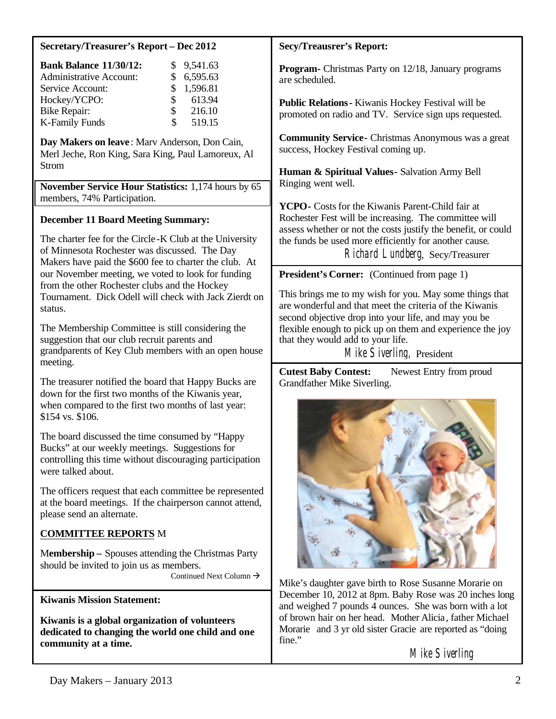#### **Secretary/Treasurer's Report – Dec 2012**

| <b>Bank Balance 11/30/12:</b>  |                | \$9,541.63 |
|--------------------------------|----------------|------------|
| <b>Administrative Account:</b> |                | \$6,595.63 |
| Service Account:               |                | \$1,596.81 |
| Hockey/YCPO:                   | $\mathbb{S}^-$ | 613.94     |
| <b>Bike Repair:</b>            | $\mathbf{s}$   | 216.10     |
| <b>K-Family Funds</b>          | S.             | 519.15     |

**Day Makers on leave** : Marv Anderson, Don Cain, Merl Jeche, Ron King, Sara King, Paul Lamoreux, Al Strom

**November Service Hour Statistics:** 1,174 hours by 65 members, 74% Participation.

## **December 11 Board Meeting Summary:**

The charter fee for the Circle -K Club at the University of Minnesota Rochester was discussed. The Day Makers have paid the \$600 fee to charter the club. At our November meeting, we voted to look for funding from the other Rochester clubs and the Hockey Tournament. Dick Odell will check with Jack Zierdt on status.

The Membership Committee is still considering the suggestion that our club recruit parents and grandparents of Key Club members with an open house meeting.

The treasurer notified the board that Happy Bucks are down for the first two months of the Kiwanis year, when compared to the first two months of last year: \$154 vs. \$106.

The board discussed the time consumed by "Happy Bucks" at our weekly meetings. Suggestions for controlling this time without discouraging participation were talked about.

The officers request that each committee be represented at the board meetings. If the chairperson cannot attend, please send an alternate.

### **COMMITTEE REPORTS** M

M**embership –** Spouses attending the Christmas Party should be invited to join us as members. Continued Next Column  $\rightarrow$ 

**Kiwanis Mission Statement:**

**Kiwanis is a global organization of volunteers dedicated to changing the world one child and one community at a time.**

#### **Secy/Treausrer's Report:**

**Program-** Christmas Party on 12/18, January programs are scheduled.

**Public Relations-** Kiwanis Hockey Festival will be promoted on radio and TV. Service sign ups requested.

**Community Service-** Christmas Anonymous was a great success, Hockey Festival coming up.

**Human & Spiritual Values-** Salvation Army Bell Ringing went well.

**YCPO-** Costs for the Kiwanis Parent-Child fair at Rochester Fest will be increasing. The committee will assess whether or not the costs justify the benefit, or could the funds be used more efficiently for another cause. Richard Lundberg, Secy/Treasurer

**President's Corner:** (Continued from page 1)

This brings me to my wish for you. May some things that are wonderful and that meet the criteria of the Kiwanis second objective drop into your life, and may you be flexible enough to pick up on them and experience the joy that they would add to your life.

Mike Siverling, President

**Cutest Baby Contest:** Newest Entry from proud Grandfather Mike Siverling.



Mike's daughter gave birth to Rose Susanne Morarie on December 10, 2012 at 8pm. Baby Rose was 20 inches long and weighed 7 pounds 4 ounces. She was born with a lot of brown hair on her head. Mother Alicia, father Michael Morarie and 3 yr old sister Gracie are reported as "doing fine."

Mike Siverling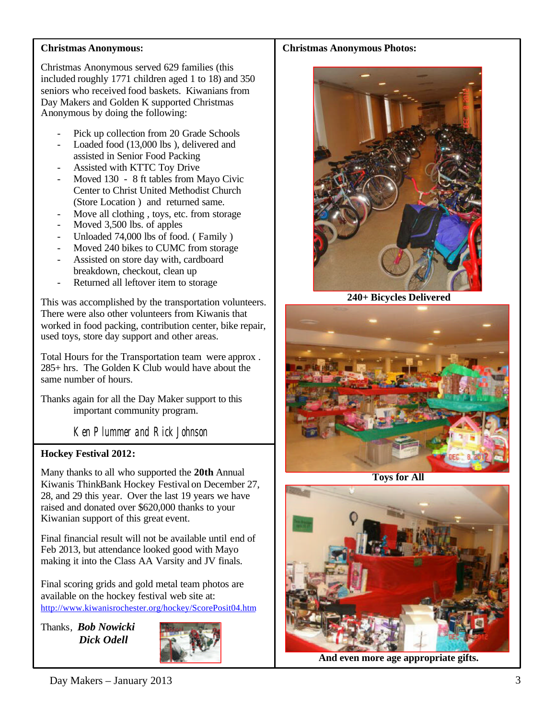## **Christmas Anonymous:**

Christmas Anonymous served 629 families (this included roughly 1771 children aged 1 to 18) and 350 seniors who received food baskets. Kiwanians from Day Makers and Golden K supported Christmas Anonymous by doing the following:

- Pick up collection from 20 Grade Schools
- Loaded food (13,000 lbs), delivered and assisted in Senior Food Packing
- Assisted with KTTC Toy Drive
- Moved 130 8 ft tables from Mayo Civic Center to Christ United Methodist Church (Store Location ) and returned same.
- Move all clothing, toys, etc. from storage
- Moved 3,500 lbs. of apples
- Unloaded 74,000 lbs of food. ( Family )
- Moved 240 bikes to CUMC from storage
- Assisted on store day with, cardboard breakdown, checkout, clean up
- Returned all leftover item to storage

This was accomplished by the transportation volunteers. There were also other volunteers from Kiwanis that worked in food packing, contribution center, bike repair, used toys, store day support and other areas.

Total Hours for the Transportation team were approx . 285+ hrs. The Golden K Club would have about the same number of hours.

Thanks again for all the Day Maker support to this important community program.

Ken Plummer and Rick Johnson

# **Hockey Festival 2012:**

Many thanks to all who supported the **20th** Annual Kiwanis ThinkBank Hockey Festival on December 27, 28, and 29 this year. Over the last 19 years we have raised and donated over \$620,000 thanks to your Kiwanian support of this great event.

Final financial result will not be available until end of Feb 2013, but attendance looked good with Mayo making it into the Class AA Varsity and JV finals.

Final scoring grids and gold metal team photos are available on the hockey festival web site at: <http://www.kiwanisrochester.org/hockey/ScorePosit04.htm>

Thanks, *Bob Nowicki Dick Odell*



## **Christmas Anonymous Photos:**



**240+ Bicycles Delivered**



**Toys for All**



**And even more age appropriate gifts.**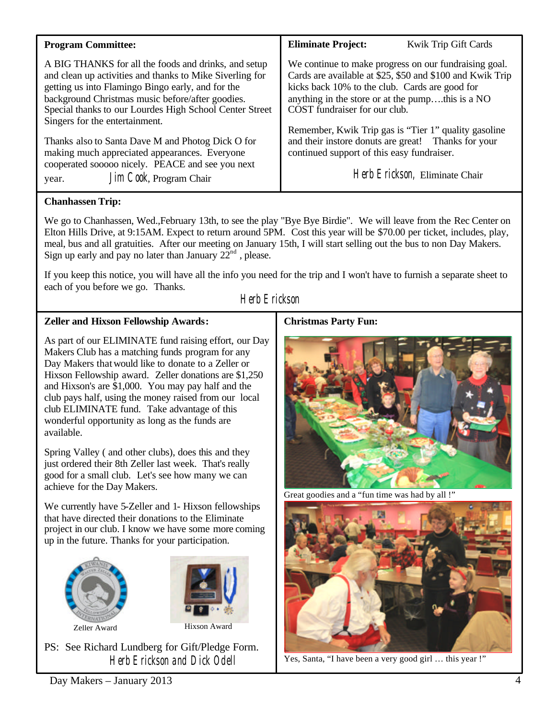| <b>Program Committee:</b>                                                                                                                                                                                                                                                                                              | <b>Eliminate Project:</b><br>Kwik Trip Gift Cards                                                                                                                                                                                                         |  |
|------------------------------------------------------------------------------------------------------------------------------------------------------------------------------------------------------------------------------------------------------------------------------------------------------------------------|-----------------------------------------------------------------------------------------------------------------------------------------------------------------------------------------------------------------------------------------------------------|--|
| A BIG THANKS for all the foods and drinks, and setup<br>and clean up activities and thanks to Mike Siverling for<br>getting us into Flamingo Bingo early, and for the<br>background Christmas music before/after goodies.<br>Special thanks to our Lourdes High School Center Street<br>Singers for the entertainment. | We continue to make progress on our fundraising goal.<br>Cards are available at \$25, \$50 and \$100 and Kwik Trip<br>kicks back 10% to the club. Cards are good for<br>anything in the store or at the pumpthis is a NO<br>COST fundraiser for our club. |  |
| Thanks also to Santa Dave M and Photog Dick O for<br>making much appreciated appearances. Everyone                                                                                                                                                                                                                     | Remember, Kwik Trip gas is "Tier 1" quality gasoline<br>and their instore donuts are great! Thanks for your<br>continued support of this easy fundraiser.                                                                                                 |  |
| cooperated sooooo nicely. PEACE and see you next<br>Jim Cook, Program Chair<br>year.                                                                                                                                                                                                                                   | Herb Erickson, Eliminate Chair                                                                                                                                                                                                                            |  |

# **Chanhassen Trip:**

We go to Chanhassen, Wed.,February 13th, to see the play "Bye Bye Birdie". We will leave from the Rec Center on Elton Hills Drive, at 9:15AM. Expect to return around 5PM. Cost this year will be \$70.00 per ticket, includes, play, meal, bus and all gratuities. After our meeting on January 15th, I will start selling out the bus to non Day Makers. Sign up early and pay no later than January  $22^{\text{nd}}$ , please.

If you keep this notice, you will have all the info you need for the trip and I won't have to furnish a separate sheet to each of you before we go. Thanks.

Herb Erickson

# **Zeller and Hixson Fellowship Awards:**

As part of our ELIMINATE fund raising effort, our Day Makers Club has a matching funds program for any Day Makers thatwould like to donate to a Zeller or Hixson Fellowship award. Zeller donations are \$1,250 and Hixson's are \$1,000. You may pay half and the club pays half, using the money raised from our local club ELIMINATE fund. Take advantage of this wonderful opportunity as long as the funds are available.

Spring Valley ( and other clubs), does this and they just ordered their 8th Zeller last week. That's really good for a small club. Let's see how many we can achieve for the Day Makers.

We currently have 5-Zeller and 1- Hixson fellowships that have directed their donations to the Eliminate project in our club. I know we have some more coming up in the future. Thanks for your participation.





Zeller Award Hixson Award

PS: See Richard Lundberg for Gift/Pledge Form. Herb Erickson and Dick Odell

### **Christmas Party Fun:**



Great goodies and a "fun time was had by all !"



Yes, Santa, "I have been a very good girl … this year !"

Day Makers – January 2013 4